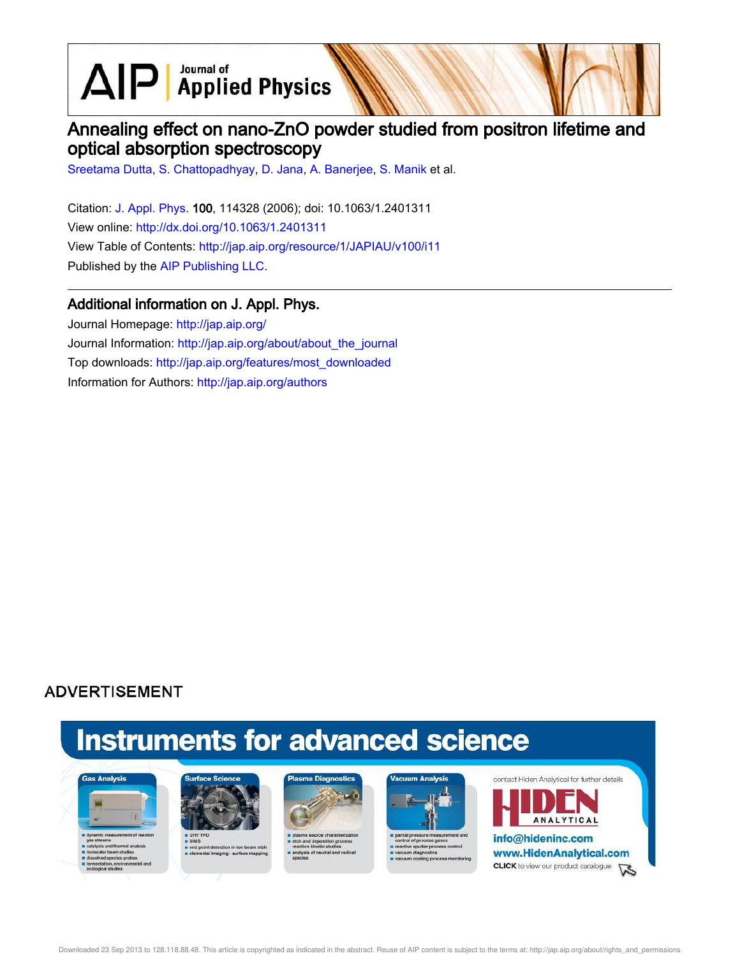$\text{AlP}$  Applied Physics

# Annealing effect on nano-ZnO powder studied from positron lifetime and optical absorption spectroscopy

Sreetama Dutta, S. Chattopadhyay, D. Jana, A. Banerjee, S. Manik et al.

Citation: J. Appl. Phys. 100, 114328 (2006); doi: 10.1063/1.2401311 View online: http://dx.doi.org/10.1063/1.2401311 View Table of Contents: http://jap.aip.org/resource/1/JAPIAU/v100/i11 Published by the AIP Publishing LLC.

# Additional information on J. Appl. Phys.

Journal Homepage: http://jap.aip.org/ Journal Information: http://jap.aip.org/about/about\_the\_journal Top downloads: http://jap.aip.org/features/most\_downloaded Information for Authors: http://jap.aip.org/authors

# **ADVERTISEMENT**

# **Instruments for advanced science**





s end point detection in ion bear<br>selemental imaging - surface m





partial pressure measure re sputter pri cess control



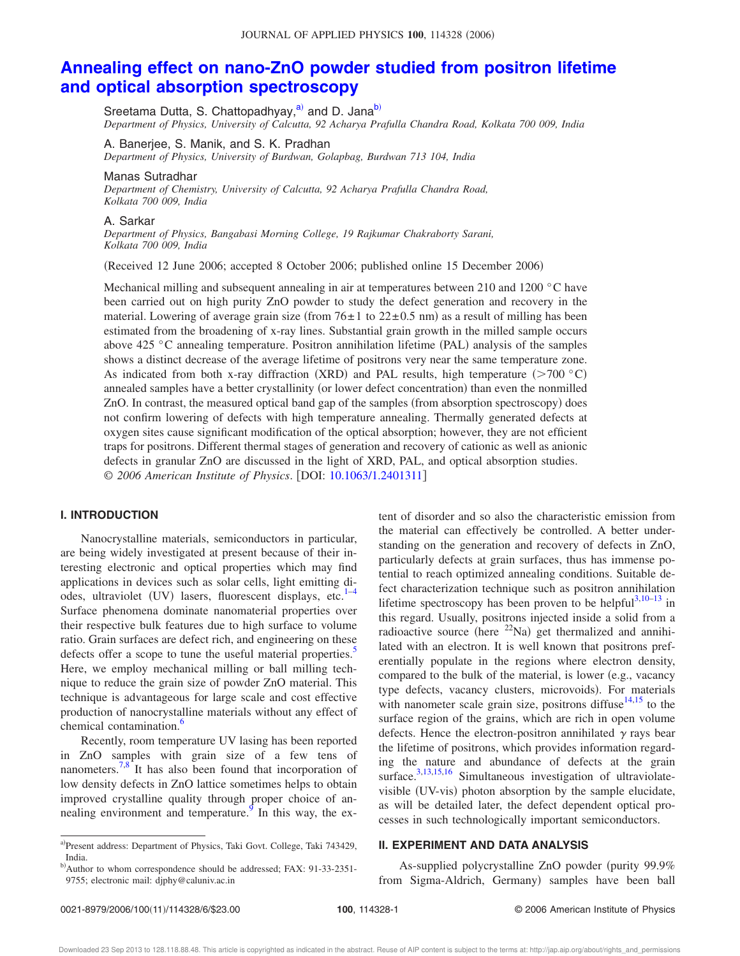# **Annealing effect on nano-ZnO powder studied from positron lifetime and optical absorption spectroscopy**

Sreetama Dutta, S. Chattopadhyay,<sup>a)</sup> and D. Jana<sup>b)</sup> *Department of Physics, University of Calcutta, 92 Acharya Prafulla Chandra Road, Kolkata 700 009, India*

A. Banerjee, S. Manik, and S. K. Pradhan *Department of Physics, University of Burdwan, Golapbag, Burdwan 713 104, India*

## Manas Sutradhar

*Department of Chemistry, University of Calcutta, 92 Acharya Prafulla Chandra Road, Kolkata 700 009, India*

#### A. Sarkar

*Department of Physics, Bangabasi Morning College, 19 Rajkumar Chakraborty Sarani, Kolkata 700 009, India*

(Received 12 June 2006; accepted 8 October 2006; published online 15 December 2006)

Mechanical milling and subsequent annealing in air at temperatures between 210 and 1200 °C have been carried out on high purity ZnO powder to study the defect generation and recovery in the material. Lowering of average grain size (from  $76 \pm 1$  to  $22 \pm 0.5$  nm) as a result of milling has been estimated from the broadening of x-ray lines. Substantial grain growth in the milled sample occurs above  $425 \degree C$  annealing temperature. Positron annihilation lifetime (PAL) analysis of the samples shows a distinct decrease of the average lifetime of positrons very near the same temperature zone. As indicated from both x-ray diffraction (XRD) and PAL results, high temperature  $($ >700  $\degree$ C $)$ annealed samples have a better crystallinity (or lower defect concentration) than even the nonmilled ZnO. In contrast, the measured optical band gap of the samples (from absorption spectroscopy) does not confirm lowering of defects with high temperature annealing. Thermally generated defects at oxygen sites cause significant modification of the optical absorption; however, they are not efficient traps for positrons. Different thermal stages of generation and recovery of cationic as well as anionic defects in granular ZnO are discussed in the light of XRD, PAL, and optical absorption studies. © *2006 American Institute of Physics*. DOI: 10.1063/1.2401311

## **I. INTRODUCTION**

Nanocrystalline materials, semiconductors in particular, are being widely investigated at present because of their interesting electronic and optical properties which may find applications in devices such as solar cells, light emitting diodes, ultraviolet (UV) lasers, fluorescent displays, etc.<sup>1-4</sup> Surface phenomena dominate nanomaterial properties over their respective bulk features due to high surface to volume ratio. Grain surfaces are defect rich, and engineering on these defects offer a scope to tune the useful material properties.<sup>5</sup> Here, we employ mechanical milling or ball milling technique to reduce the grain size of powder ZnO material. This technique is advantageous for large scale and cost effective production of nanocrystalline materials without any effect of chemical contamination.<sup>6</sup>

Recently, room temperature UV lasing has been reported in ZnO samples with grain size of a few tens of nanometers.<sup>7,8</sup> It has also been found that incorporation of low density defects in ZnO lattice sometimes helps to obtain improved crystalline quality through proper choice of annealing environment and temperature. In this way, the extent of disorder and so also the characteristic emission from the material can effectively be controlled. A better understanding on the generation and recovery of defects in ZnO, particularly defects at grain surfaces, thus has immense potential to reach optimized annealing conditions. Suitable defect characterization technique such as positron annihilation lifetime spectroscopy has been proven to be helpful $3,10-13$  in this regard. Usually, positrons injected inside a solid from a radioactive source (here  $^{22}$ Na) get thermalized and annihilated with an electron. It is well known that positrons preferentially populate in the regions where electron density, compared to the bulk of the material, is lower (e.g., vacancy type defects, vacancy clusters, microvoids). For materials with nanometer scale grain size, positrons diffuse $14,15$  to the surface region of the grains, which are rich in open volume defects. Hence the electron-positron annihilated  $\gamma$  rays bear the lifetime of positrons, which provides information regarding the nature and abundance of defects at the grain surface.<sup>3,13,15,16</sup> Simultaneous investigation of ultraviolatevisible (UV-vis) photon absorption by the sample elucidate, as will be detailed later, the defect dependent optical processes in such technologically important semiconductors.

# **II. EXPERIMENT AND DATA ANALYSIS**

As-supplied polycrystalline ZnO powder (purity 99.9%) from Sigma-Aldrich, Germany) samples have been ball

a)Present address: Department of Physics, Taki Govt. College, Taki 743429, India.

b)Author to whom correspondence should be addressed; FAX: 91-33-2351-9755; electronic mail: djphy@caluniv.ac.in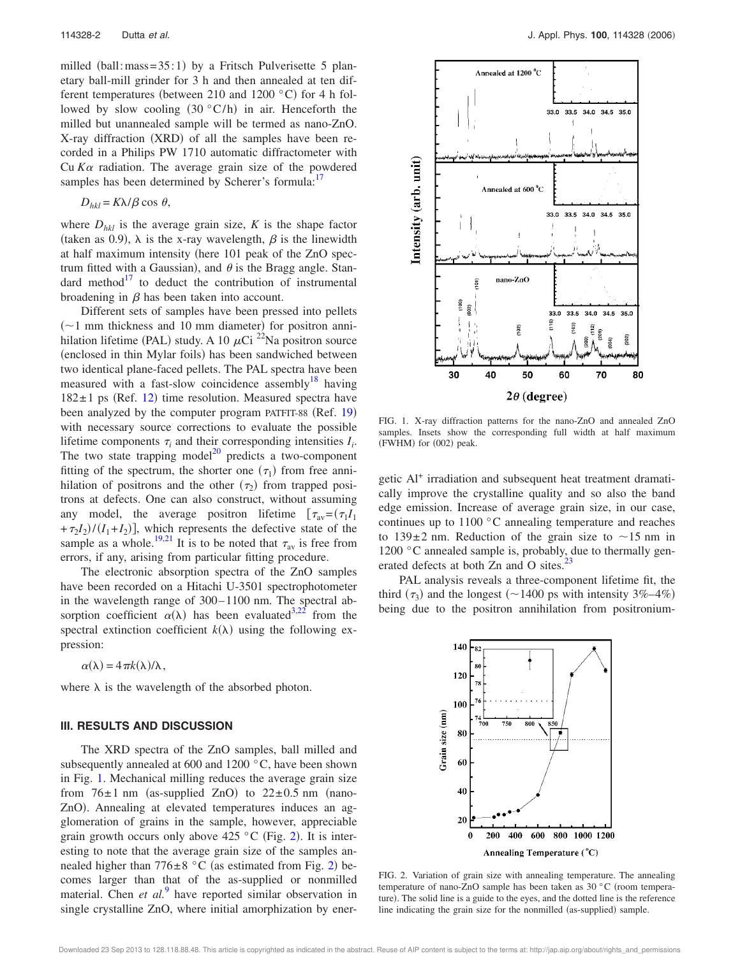milled (ball: mass =  $35:1$ ) by a Fritsch Pulverisette 5 planetary ball-mill grinder for 3 h and then annealed at ten different temperatures (between 210 and 1200  $\degree$ C) for 4 h followed by slow cooling  $(30 °C/h)$  in air. Henceforth the milled but unannealed sample will be termed as nano-ZnO. X-ray diffraction (XRD) of all the samples have been recorded in a Philips PW 1710 automatic diffractometer with Cu  $K\alpha$  radiation. The average grain size of the powdered samples has been determined by Scherer's formula:<sup>17</sup>

$$
D_{hkl} = K\lambda/\beta \cos \theta,
$$

where  $D_{hkl}$  is the average grain size,  $K$  is the shape factor (taken as 0.9),  $\lambda$  is the x-ray wavelength,  $\beta$  is the linewidth at half maximum intensity (here 101 peak of the ZnO spectrum fitted with a Gaussian), and  $\theta$  is the Bragg angle. Standard method $17$  to deduct the contribution of instrumental broadening in  $\beta$  has been taken into account.

Different sets of samples have been pressed into pellets  $(\sim)1$  mm thickness and 10 mm diameter) for positron annihilation lifetime (PAL) study. A 10  $\mu$ Ci <sup>22</sup>Na positron source (enclosed in thin Mylar foils) has been sandwiched between two identical plane-faced pellets. The PAL spectra have been measured with a fast-slow coincidence assembly<sup>18</sup> having  $182 \pm 1$  ps (Ref. 12) time resolution. Measured spectra have been analyzed by the computer program PATFIT-88 (Ref. 19) with necessary source corrections to evaluate the possible lifetime components  $\tau_i$  and their corresponding intensities  $I_i$ . The two state trapping model $^{20}$  predicts a two-component fitting of the spectrum, the shorter one  $(\tau_1)$  from free annihilation of positrons and the other  $(\tau_2)$  from trapped positrons at defects. One can also construct, without assuming any model, the average positron lifetime  $[\tau_{av} = (\tau_1 I_1$  $+\tau_2 I_2 / (I_1 + I_2)$ , which represents the defective state of the sample as a whole.<sup>19,21</sup> It is to be noted that  $\tau_{av}$  is free from errors, if any, arising from particular fitting procedure.

The electronic absorption spectra of the ZnO samples have been recorded on a Hitachi U-3501 spectrophotometer in the wavelength range of 300– 1100 nm. The spectral absorption coefficient  $\alpha(\lambda)$  has been evaluated<sup>3,22</sup> from the spectral extinction coefficient  $k(\lambda)$  using the following expression:

 $\alpha(\lambda) = 4 \pi k(\lambda)/\lambda$ ,

where  $\lambda$  is the wavelength of the absorbed photon.

## **III. RESULTS AND DISCUSSION**

The XRD spectra of the ZnO samples, ball milled and subsequently annealed at 600 and 1200 °C, have been shown in Fig. 1. Mechanical milling reduces the average grain size from  $76 \pm 1$  nm (as-supplied ZnO) to  $22 \pm 0.5$  nm (nano-ZnO). Annealing at elevated temperatures induces an agglomeration of grains in the sample, however, appreciable grain growth occurs only above  $425\text{ °C}$  (Fig. 2). It is interesting to note that the average grain size of the samples annealed higher than  $776 \pm 8$  °C (as estimated from Fig. 2) becomes larger than that of the as-supplied or nonmilled material. Chen *et al.*<sup>9</sup> have reported similar observation in single crystalline ZnO, where initial amorphization by ener-



FIG. 1. X-ray diffraction patterns for the nano-ZnO and annealed ZnO samples. Insets show the corresponding full width at half maximum (FWHM) for (002) peak.

getic Al<sup>+</sup> irradiation and subsequent heat treatment dramatically improve the crystalline quality and so also the band edge emission. Increase of average grain size, in our case, continues up to 1100 °C annealing temperature and reaches to  $139 \pm 2$  nm. Reduction of the grain size to  $\sim 15$  nm in 1200 °C annealed sample is, probably, due to thermally generated defects at both Zn and O sites.<sup>23</sup>

PAL analysis reveals a three-component lifetime fit, the third  $(\tau_3)$  and the longest (~1400 ps with intensity 3%–4%) being due to the positron annihilation from positronium-



FIG. 2. Variation of grain size with annealing temperature. The annealing temperature of nano-ZnO sample has been taken as 30 °C (room temperature). The solid line is a guide to the eyes, and the dotted line is the reference line indicating the grain size for the nonmilled (as-supplied) sample.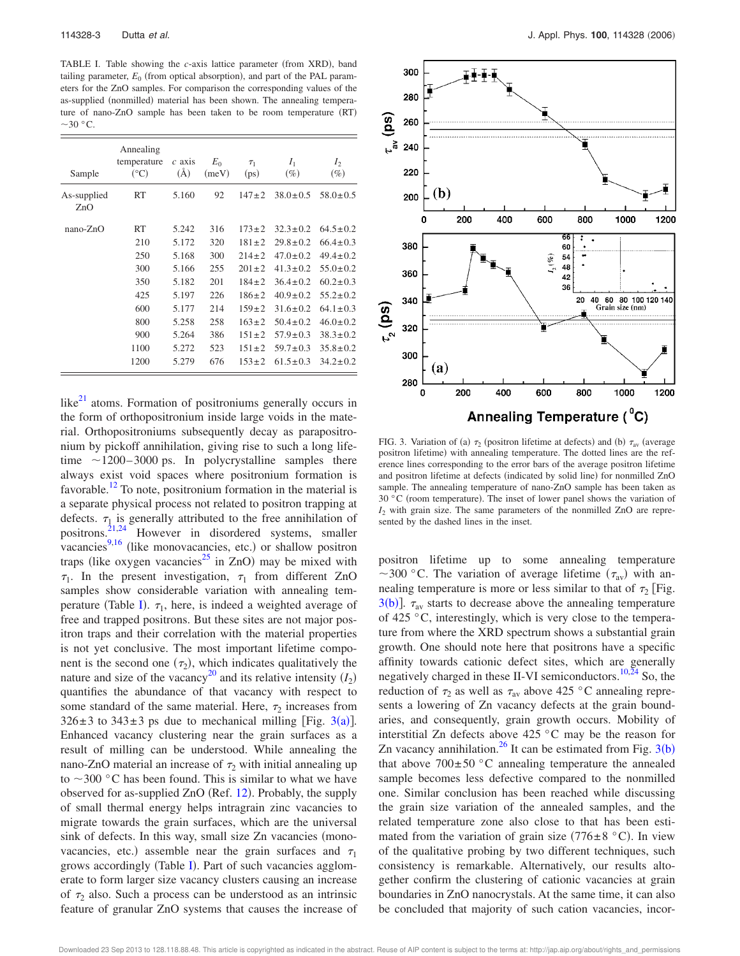TABLE I. Table showing the *c*-axis lattice parameter (from XRD), band tailing parameter,  $E_0$  (from optical absorption), and part of the PAL parameters for the ZnO samples. For comparison the corresponding values of the as-supplied (nonmilled) material has been shown. The annealing temperature of nano-ZnO sample has been taken to be room temperature (RT)  $\sim$ 30 °C.

| Sample             | Annealing<br>temperature<br>$({}^{\circ}C)$ | $c$ axis<br>(A) | $E_0$<br>(meV) | $\tau_1$<br>(p <sub>S</sub> ) | $I_1$<br>$(\%)$ | $I_2$<br>$(\%)$ |
|--------------------|---------------------------------------------|-----------------|----------------|-------------------------------|-----------------|-----------------|
| As-supplied<br>ZnO | <b>RT</b>                                   | 5.160           | 92             | $147 + 2$                     | $38.0 \pm 0.5$  | $58.0 \pm 0.5$  |
| nano-ZnO           | RT                                          | 5.242           | 316            | $173 \pm 2$                   | $32.3 \pm 0.2$  | $64.5 \pm 0.2$  |
|                    | 210                                         | 5.172           | 320            | $181 \pm 2$                   | $29.8 \pm 0.2$  | $66.4 \pm 0.3$  |
|                    | 250                                         | 5.168           | 300            | $214 \pm 2$                   | $47.0 \pm 0.2$  | $49.4 \pm 0.2$  |
|                    | 300                                         | 5.166           | 255            | $201 \pm 2$                   | $41.3 \pm 0.2$  | $55.0 \pm 0.2$  |
|                    | 350                                         | 5.182           | 201            | $184 \pm 2$                   | $36.4 \pm 0.2$  | $60.2 \pm 0.3$  |
|                    | 425                                         | 5.197           | 226            | $186 \pm 2$                   | $40.9 \pm 0.2$  | $55.2 \pm 0.2$  |
|                    | 600                                         | 5.177           | 214            | $159 \pm 2$                   | $31.6 \pm 0.2$  | $64.1 \pm 0.3$  |
|                    | 800                                         | 5.258           | 258            | $163 \pm 2$                   | $50.4 \pm 0.2$  | $46.0 \pm 0.2$  |
|                    | 900                                         | 5.264           | 386            | $151 \pm 2$                   | $57.9 \pm 0.3$  | $38.3 \pm 0.2$  |
|                    | 1100                                        | 5.272           | 523            | $151 \pm 2$                   | $59.7 \pm 0.3$  | $35.8 \pm 0.2$  |
|                    | 1200                                        | 5.279           | 676            | $153 \pm 2$                   | $61.5 \pm 0.3$  | $34.2 \pm 0.2$  |

like $^{21}$  atoms. Formation of positroniums generally occurs in the form of orthopositronium inside large voids in the material. Orthopositroniums subsequently decay as parapositronium by pickoff annihilation, giving rise to such a long lifetime  $\sim$ 1200–3000 ps. In polycrystalline samples there always exist void spaces where positronium formation is favorable.<sup>12</sup> To note, positronium formation in the material is a separate physical process not related to positron trapping at defects.  $\tau_{1}$  is generally attributed to the free annihilation of positrons. $21,24$  However in disordered systems, smaller vacancies<sup>9,16</sup> (like monovacancies, etc.) or shallow positron traps (like oxygen vacancies<sup>25</sup> in ZnO) may be mixed with  $\tau_1$ . In the present investigation,  $\tau_1$  from different ZnO samples show considerable variation with annealing temperature (Table I).  $\tau_1$ , here, is indeed a weighted average of free and trapped positrons. But these sites are not major positron traps and their correlation with the material properties is not yet conclusive. The most important lifetime component is the second one  $(\tau_2)$ , which indicates qualitatively the nature and size of the vacancy<sup>20</sup> and its relative intensity  $(I_2)$ quantifies the abundance of that vacancy with respect to some standard of the same material. Here,  $\tau_2$  increases from  $326 \pm 3$  to  $343 \pm 3$  ps due to mechanical milling [Fig. 3(a)]. Enhanced vacancy clustering near the grain surfaces as a result of milling can be understood. While annealing the nano-ZnO material an increase of  $\tau_2$  with initial annealing up to  $\sim$ 300 °C has been found. This is similar to what we have observed for as-supplied ZnO (Ref. 12). Probably, the supply of small thermal energy helps intragrain zinc vacancies to migrate towards the grain surfaces, which are the universal sink of defects. In this way, small size Zn vacancies (monovacancies, etc.) assemble near the grain surfaces and  $\tau_1$ grows accordingly (Table I). Part of such vacancies agglomerate to form larger size vacancy clusters causing an increase of  $\tau_2$  also. Such a process can be understood as an intrinsic feature of granular ZnO systems that causes the increase of



FIG. 3. Variation of (a)  $\tau_2$  (positron lifetime at defects) and (b)  $\tau_{av}$  (average positron lifetime) with annealing temperature. The dotted lines are the reference lines corresponding to the error bars of the average positron lifetime and positron lifetime at defects (indicated by solid line) for nonmilled ZnO sample. The annealing temperature of nano-ZnO sample has been taken as 30  $\degree$ C (room temperature). The inset of lower panel shows the variation of *I*<sup>2</sup> with grain size. The same parameters of the nonmilled ZnO are represented by the dashed lines in the inset.

positron lifetime up to some annealing temperature ~300 °C. The variation of average lifetime  $(\tau_{av})$  with annealing temperature is more or less similar to that of  $\tau_2$  [Fig.  $3(b)$ ].  $\tau_{av}$  starts to decrease above the annealing temperature of 425 °C, interestingly, which is very close to the temperature from where the XRD spectrum shows a substantial grain growth. One should note here that positrons have a specific affinity towards cationic defect sites, which are generally negatively charged in these II-VI semiconductors. $10,24$  So, the reduction of  $\tau_2$  as well as  $\tau_{av}$  above 425 °C annealing represents a lowering of Zn vacancy defects at the grain boundaries, and consequently, grain growth occurs. Mobility of interstitial Zn defects above 425 °C may be the reason for Zn vacancy annihilation.<sup>26</sup> It can be estimated from Fig.  $3(b)$ that above  $700 \pm 50$  °C annealing temperature the annealed sample becomes less defective compared to the nonmilled one. Similar conclusion has been reached while discussing the grain size variation of the annealed samples, and the related temperature zone also close to that has been estimated from the variation of grain size (776 $\pm$ 8 °C). In view of the qualitative probing by two different techniques, such consistency is remarkable. Alternatively, our results altogether confirm the clustering of cationic vacancies at grain boundaries in ZnO nanocrystals. At the same time, it can also be concluded that majority of such cation vacancies, incor-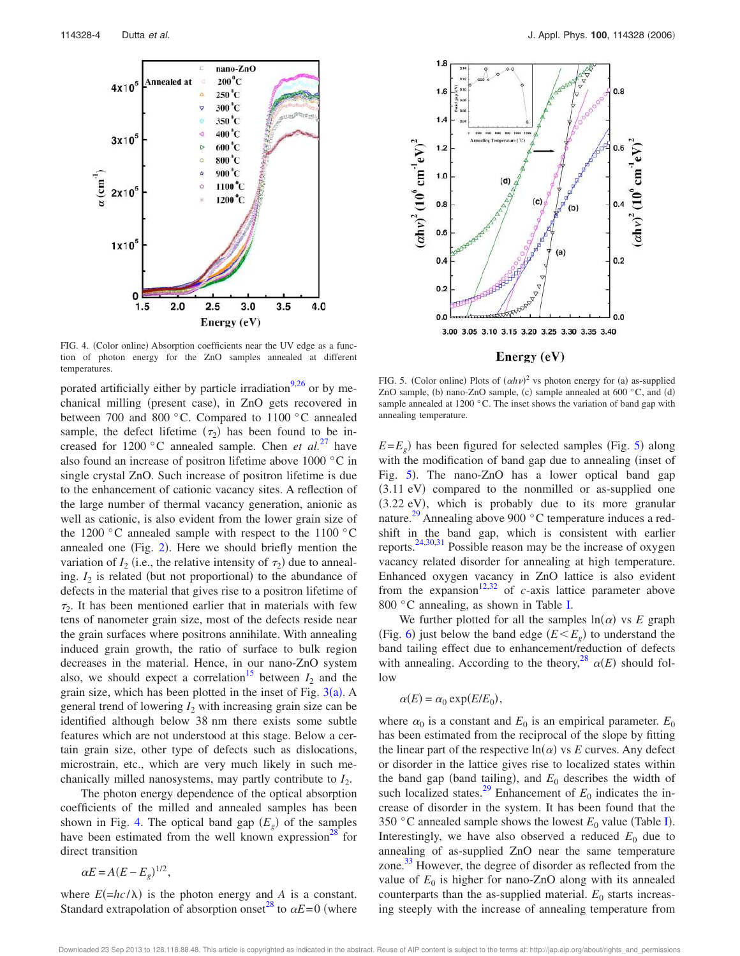

FIG. 4. (Color online) Absorption coefficients near the UV edge as a function of photon energy for the ZnO samples annealed at different temperatures.

porated artificially either by particle irradiation $9,26$  or by mechanical milling (present case), in ZnO gets recovered in between 700 and 800 °C. Compared to 1100 °C annealed sample, the defect lifetime  $(\tau_2)$  has been found to be increased for 1200 °C annealed sample. Chen *et al.*<sup>27</sup> have also found an increase of positron lifetime above 1000 °C in single crystal ZnO. Such increase of positron lifetime is due to the enhancement of cationic vacancy sites. A reflection of the large number of thermal vacancy generation, anionic as well as cationic, is also evident from the lower grain size of the 1200 °C annealed sample with respect to the 1100 °C annealed one (Fig.  $2$ ). Here we should briefly mention the variation of  $I_2$  (i.e., the relative intensity of  $\tau_2$ ) due to annealing.  $I_2$  is related (but not proportional) to the abundance of defects in the material that gives rise to a positron lifetime of  $\tau_2$ . It has been mentioned earlier that in materials with few tens of nanometer grain size, most of the defects reside near the grain surfaces where positrons annihilate. With annealing induced grain growth, the ratio of surface to bulk region decreases in the material. Hence, in our nano-ZnO system also, we should expect a correlation<sup>15</sup> between  $I_2$  and the grain size, which has been plotted in the inset of Fig.  $3(a)$ . A general trend of lowering *I*<sup>2</sup> with increasing grain size can be identified although below 38 nm there exists some subtle features which are not understood at this stage. Below a certain grain size, other type of defects such as dislocations, microstrain, etc., which are very much likely in such mechanically milled nanosystems, may partly contribute to  $I_2$ .

The photon energy dependence of the optical absorption coefficients of the milled and annealed samples has been shown in Fig. 4. The optical band gap  $(E_g)$  of the samples have been estimated from the well known expression<sup>28</sup> for direct transition

 $\alpha E = A(E - E_g)^{1/2}$ ,

where  $E(=\frac{hc}{\lambda})$  is the photon energy and *A* is a constant. Standard extrapolation of absorption onset<sup>28</sup> to  $\alpha E = 0$  (where



Energy (eV)

FIG. 5. (Color online) Plots of  $(\alpha h \nu)^2$  vs photon energy for (a) as-supplied ZnO sample, (b) nano-ZnO sample, (c) sample annealed at  $600\,^{\circ}$ C, and (d) sample annealed at 1200 °C. The inset shows the variation of band gap with annealing temperature.

 $E = E_g$ ) has been figured for selected samples (Fig. 5) along with the modification of band gap due to annealing (inset of Fig. 5). The nano-ZnO has a lower optical band gap (3.11 eV) compared to the nonmilled or as-supplied one (3.22 eV), which is probably due to its more granular nature.<sup>29</sup> Annealing above 900 °C temperature induces a redshift in the band gap, which is consistent with earlier reports.24,30,31 Possible reason may be the increase of oxygen vacancy related disorder for annealing at high temperature. Enhanced oxygen vacancy in ZnO lattice is also evident from the expansion<sup>12,32</sup> of *c*-axis lattice parameter above 800 °C annealing, as shown in Table I.

We further plotted for all the samples  $ln(\alpha)$  vs *E* graph (Fig. 6) just below the band edge  $(E \leq E_g)$  to understand the band tailing effect due to enhancement/reduction of defects with annealing. According to the theory,<sup>28</sup>  $\alpha(E)$  should follow

$$
\alpha(E) = \alpha_0 \exp(E/E_0),
$$

where  $\alpha_0$  is a constant and  $E_0$  is an empirical parameter.  $E_0$ has been estimated from the reciprocal of the slope by fitting the linear part of the respective  $ln(\alpha)$  vs *E* curves. Any defect or disorder in the lattice gives rise to localized states within the band gap (band tailing), and  $E_0$  describes the width of such localized states.<sup>29</sup> Enhancement of  $E_0$  indicates the increase of disorder in the system. It has been found that the 350 °C annealed sample shows the lowest  $E_0$  value (Table I). Interestingly, we have also observed a reduced  $E_0$  due to annealing of as-supplied ZnO near the same temperature zone. <sup>33</sup> However, the degree of disorder as reflected from the value of  $E_0$  is higher for nano-ZnO along with its annealed counterparts than the as-supplied material.  $E_0$  starts increasing steeply with the increase of annealing temperature from

Downloaded 23 Sep 2013 to 128.118.88.48. This article is copyrighted as indicated in the abstract. Reuse of AIP content is subject to the terms at: http://jap.aip.org/about/rights\_and\_permissions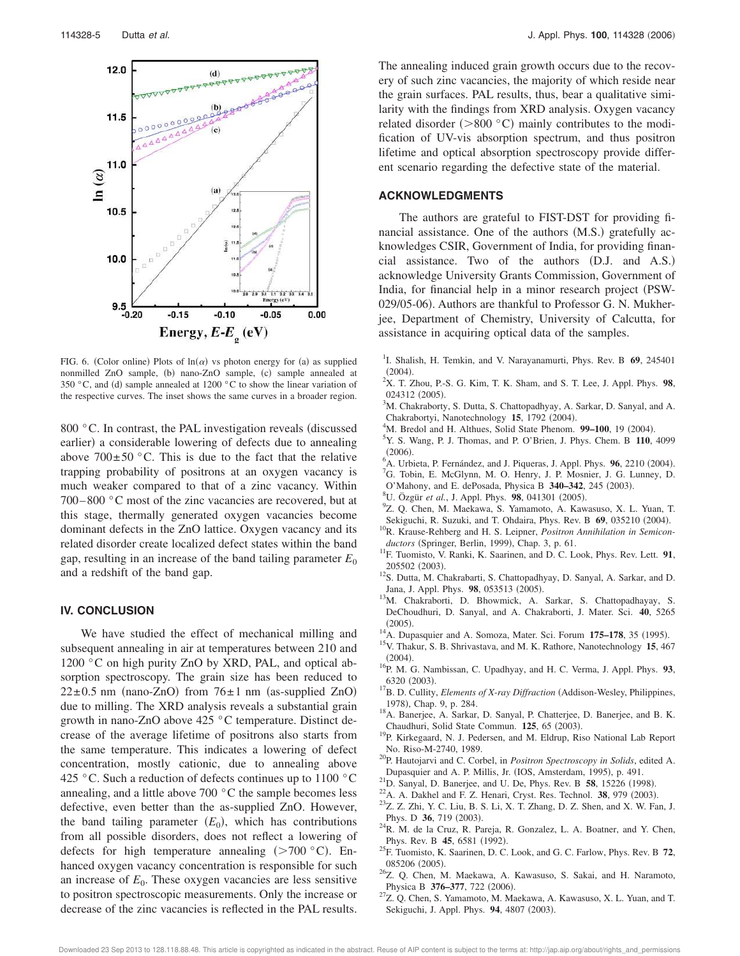

FIG. 6. (Color online) Plots of  $ln(\alpha)$  vs photon energy for (a) as supplied nonmilled ZnO sample, (b) nano-ZnO sample, (c) sample annealed at 350 °C, and (d) sample annealed at 1200 °C to show the linear variation of the respective curves. The inset shows the same curves in a broader region.

800 $\degree$ C. In contrast, the PAL investigation reveals (discussed earlier) a considerable lowering of defects due to annealing above  $700 \pm 50$  °C. This is due to the fact that the relative trapping probability of positrons at an oxygen vacancy is much weaker compared to that of a zinc vacancy. Within 700– 800 °C most of the zinc vacancies are recovered, but at this stage, thermally generated oxygen vacancies become dominant defects in the ZnO lattice. Oxygen vacancy and its related disorder create localized defect states within the band gap, resulting in an increase of the band tailing parameter  $E_0$ and a redshift of the band gap.

## **IV. CONCLUSION**

We have studied the effect of mechanical milling and subsequent annealing in air at temperatures between 210 and 1200 °C on high purity ZnO by XRD, PAL, and optical absorption spectroscopy. The grain size has been reduced to  $22 \pm 0.5$  nm (nano-ZnO) from  $76 \pm 1$  nm (as-supplied ZnO) due to milling. The XRD analysis reveals a substantial grain growth in nano-ZnO above 425 °C temperature. Distinct decrease of the average lifetime of positrons also starts from the same temperature. This indicates a lowering of defect concentration, mostly cationic, due to annealing above 425 °C. Such a reduction of defects continues up to  $1100$  °C annealing, and a little above 700 °C the sample becomes less defective, even better than the as-supplied ZnO. However, the band tailing parameter  $(E_0)$ , which has contributions from all possible disorders, does not reflect a lowering of defects for high temperature annealing  $(>700 \degree C)$ . Enhanced oxygen vacancy concentration is responsible for such an increase of  $E_0$ . These oxygen vacancies are less sensitive to positron spectroscopic measurements. Only the increase or decrease of the zinc vacancies is reflected in the PAL results. The annealing induced grain growth occurs due to the recovery of such zinc vacancies, the majority of which reside near the grain surfaces. PAL results, thus, bear a qualitative similarity with the findings from XRD analysis. Oxygen vacancy related disorder ( $> 800 °C$ ) mainly contributes to the modification of UV-vis absorption spectrum, and thus positron lifetime and optical absorption spectroscopy provide different scenario regarding the defective state of the material.

## **ACKNOWLEDGMENTS**

The authors are grateful to FIST-DST for providing financial assistance. One of the authors (M.S.) gratefully acknowledges CSIR, Government of India, for providing financial assistance. Two of the authors (D.J. and A.S.) acknowledge University Grants Commission, Government of India, for financial help in a minor research project (PSW-029/05-06). Authors are thankful to Professor G. N. Mukherjee, Department of Chemistry, University of Calcutta, for assistance in acquiring optical data of the samples.

- 1 I. Shalish, H. Temkin, and V. Narayanamurti, Phys. Rev. B **69**, 245401  $(2004).$
- <sup>2</sup>X. T. Zhou, P.-S. G. Kim, T. K. Sham, and S. T. Lee, J. Appl. Phys. **98**, 024312 (2005).
- <sup>3</sup>M. Chakraborty, S. Dutta, S. Chattopadhyay, A. Sarkar, D. Sanyal, and A. Chakrabortyi, Nanotechnology 15, 1792 (2004).
- <sup>4</sup>M. Bredol and H. Althues, Solid State Phenom. 99-100, 19 (2004).
- <sup>5</sup>Y. S. Wang, P. J. Thomas, and P. O'Brien, J. Phys. Chem. B **110**, 4099  $(2006).$
- <sup>6</sup> A. Urbieta, P. Fernández, and J. Piqueras, J. Appl. Phys. **96**, 2210 (2004).
- <sup>7</sup>G. Tobin, E. McGlynn, M. O. Henry, J. P. Mosnier, J. G. Lunney, D.
- O'Mahony, and E. dePosada, Physica B 340-342, 245 (2003).
- <sup>8</sup>U. Özgür et al., J. Appl. Phys. 98, 041301 (2005).
- 9 Z. Q. Chen, M. Maekawa, S. Yamamoto, A. Kawasuso, X. L. Yuan, T.
- Sekiguchi, R. Suzuki, and T. Ohdaira, Phys. Rev. B 69, 035210 (2004). <sup>10</sup>R. Krause-Rehberg and H. S. Leipner, *Positron Annihilation in Semicon-*
- ductors (Springer, Berlin, 1999), Chap. 3, p. 61. <sup>11</sup>F. Tuomisto, V. Ranki, K. Saarinen, and D. C. Look, Phys. Rev. Lett. **91**, 205502 (2003).
- <sup>12</sup>S. Dutta, M. Chakrabarti, S. Chattopadhyay, D. Sanyal, A. Sarkar, and D. Jana, J. Appl. Phys. 98, 053513 (2005).
- <sup>13</sup>M. Chakraborti, D. Bhowmick, A. Sarkar, S. Chattopadhayay, S. DeChoudhuri, D. Sanyal, and A. Chakraborti, J. Mater. Sci. **40**, 5265  $(2005)$
- (2005).<br><sup>14</sup>A. Dupasquier and A. Somoza, Mater. Sci. Forum **175–178**, 35 (1995).
- <sup>15</sup>V. Thakur, S. B. Shrivastava, and M. K. Rathore, Nanotechnology **15**, 467  $(2004).$
- <sup>16</sup>P. M. G. Nambissan, C. Upadhyay, and H. C. Verma, J. Appl. Phys. **93**, 6320 (2003).
- <sup>17</sup>B. D. Cullity, *Elements of X-ray Diffraction* (Addison-Wesley, Philippines, 1978), Chap. 9, p. 284.
- <sup>18</sup>A. Banerjee, A. Sarkar, D. Sanyal, P. Chatterjee, D. Banerjee, and B. K. Chaudhuri, Solid State Commun. 125, 65 (2003).
- <sup>19</sup>P. Kirkegaard, N. J. Pedersen, and M. Eldrup, Riso National Lab Report No. Riso-M-2740, 1989.
- <sup>20</sup>P. Hautojarvi and C. Corbel, in *Positron Spectroscopy in Solids*, edited A. Dupasquier and A. P. Millis, Jr. (IOS, Amsterdam, 1995), p. 491.
- <sup>21</sup>D. Sanyal, D. Banerjee, and U. De, Phys. Rev. B **58**, 15226 (1998).
- $^{22}$ A. A. Dakhel and F. Z. Henari, Cryst. Res. Technol. **38**, 979 (2003).
- $23Z$ . Z. Zhi, Y. C. Liu, B. S. Li, X. T. Zhang, D. Z. Shen, and X. W. Fan, J. Phys. D 36, 719 (2003).
- $24R$ . M. de la Cruz, R. Pareja, R. Gonzalez, L. A. Boatner, and Y. Chen, Phys. Rev. B 45, 6581 (1992).
- <sup>25</sup>F. Tuomisto, K. Saarinen, D. C. Look, and G. C. Farlow, Phys. Rev. B **72**, 085206 (2005).
- <sup>26</sup>Z. Q. Chen, M. Maekawa, A. Kawasuso, S. Sakai, and H. Naramoto, Physica B 376-377, 722 (2006).
- $27Z$ . Q. Chen, S. Yamamoto, M. Maekawa, A. Kawasuso, X. L. Yuan, and T. Sekiguchi, J. Appl. Phys. 94, 4807 (2003).